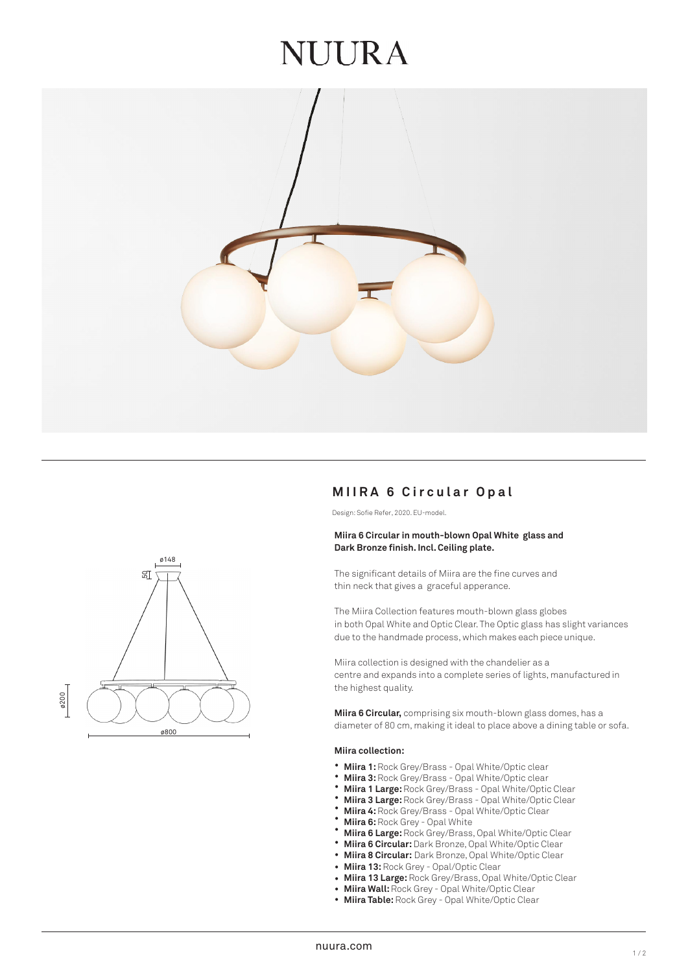## JUURA



# ø800 ø200 ø148  $5\overline{2}$

### **M I IRA 6 Circular Op a l**

Design: Sofie Refer, 2020. EU-model.

#### **Miira 6 Circular in mouth-blown Opal White glass and Dark Bronze finish. Incl. Ceiling plate.**

The significant details of Miira are the fine curves and thin neck that gives a graceful apperance.

The Miira Collection features mouth-blown glass globes in both Opal White and Optic Clear. The Optic glass has slight variances due to the handmade process, which makes each piece unique.

Miira collection is designed with the chandelier as a centre and expands into a complete series of lights, manufactured in the highest quality.

**Miira 6 Circular,** comprising six mouth-blown glass domes, has a diameter of 80 cm, making it ideal to place above a dining table or sofa.

#### **Miira collection:**

- **Miira 1:** Rock Grey/Brass Opal White/Optic clear
- **Miira 3:** Rock Grey/Brass Opal White/Optic clear
- **Miira 1 Large:** Rock Grey/Brass Opal White/Optic Clear
- **Miira 3 Large:** Rock Grey/Brass Opal White/Optic Clear
- **Miira 4:** Rock Grey/Brass Opal White/Optic Clear
- **Miira 6:** Rock Grey Opal White
- **Miira 6 Large:** Rock Grey/Brass, Opal White/Optic Clear
- **Miira 6 Circular:** Dark Bronze, Opal White/Optic Clear  $\bullet$
- $\bullet$ **Miira 8 Circular:** Dark Bronze, Opal White/Optic Clear
- **Miira 13:** Rock Grey Opal/Optic Clear
- **Miira 13 Large:** Rock Grey/Brass, Opal White/Optic Clear  $\bullet$
- **Miira Wall:** Rock Grey Opal White/Optic Clear ••••••••••••
- $\bullet$ **Miira Table:** Rock Grey - Opal White/Optic Clear